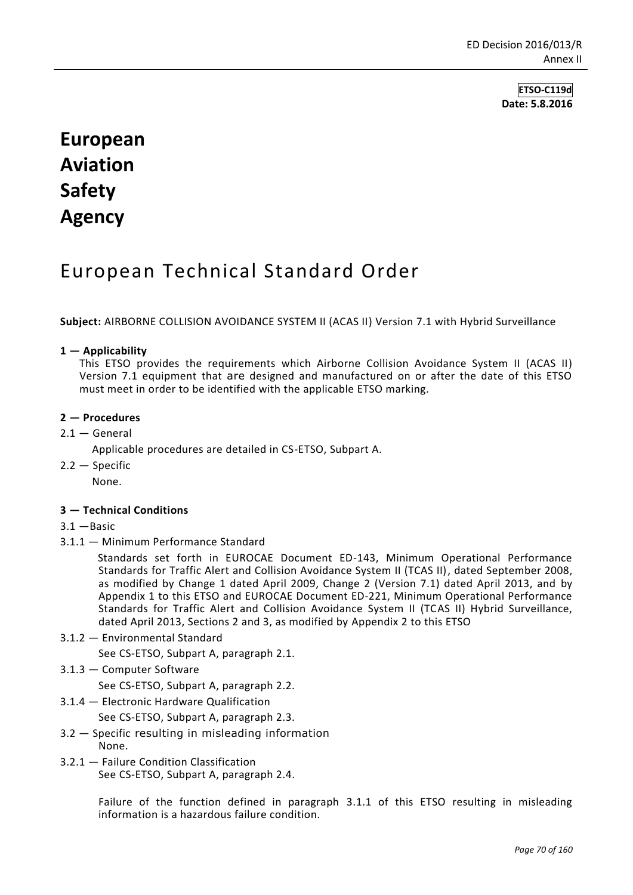**ETSO-C119d Date: 5.8.2016**

# **European Aviation Safety Agency**

## European Technical Standard Order

**Subject:** AIRBORNE COLLISION AVOIDANCE SYSTEM II (ACAS II) Version 7.1 with Hybrid Surveillance

#### **1 — Applicability**

This ETSO provides the requirements which Airborne Collision Avoidance System II (ACAS II) Version 7.1 equipment that are designed and manufactured on or after the date of this ETSO must meet in order to be identified with the applicable ETSO marking.

## **2 — Procedures**

 $2.1 -$  General

Applicable procedures are detailed in CS-ETSO, Subpart A.

2.2 — Specific

None.

#### **3 — Technical Conditions**

- 3.1 —Basic
- 3.1.1 Minimum Performance Standard

Standards set forth in EUROCAE Document ED-143, Minimum Operational Performance Standards for Traffic Alert and Collision Avoidance System II (TCAS II), dated September 2008, as modified by Change 1 dated April 2009, Change 2 (Version 7.1) dated April 2013, and by Appendix 1 to this ETSO and EUROCAE Document ED-221, Minimum Operational Performance Standards for Traffic Alert and Collision Avoidance System II (TCAS II) Hybrid Surveillance, dated April 2013, Sections 2 and 3, as modified by Appendix 2 to this ETSO

3.1.2 — Environmental Standard

See CS-ETSO, Subpart A, paragraph 2.1.

3.1.3 — Computer Software

See CS-ETSO, Subpart A, paragraph 2.2.

3.1.4 — Electronic Hardware Qualification

See CS-ETSO, Subpart A, paragraph 2.3.

- 3.2 Specific resulting in misleading information None.
- 3.2.1 Failure Condition Classification See CS-ETSO, Subpart A, paragraph 2.4.

Failure of the function defined in paragraph 3.1.1 of this ETSO resulting in misleading information is a hazardous failure condition.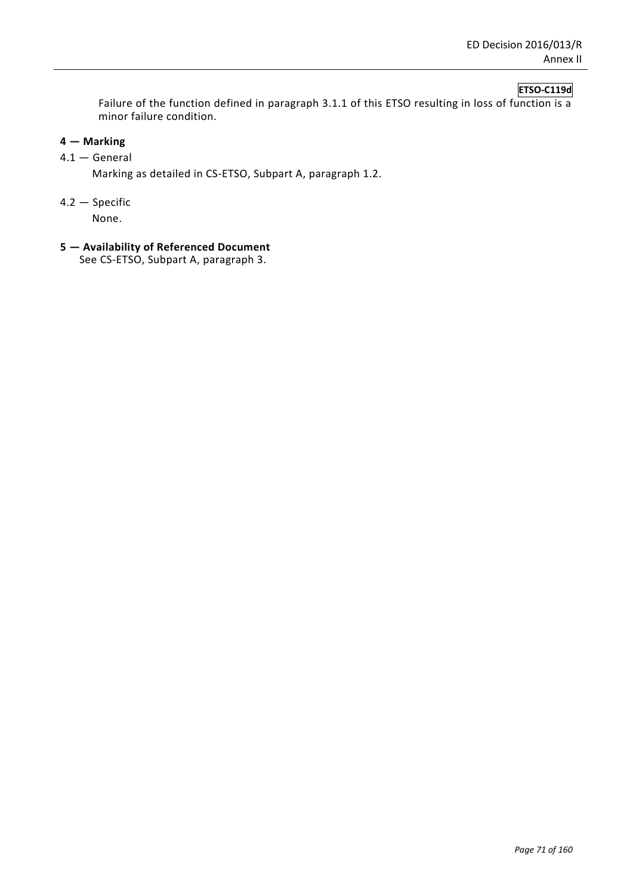## **ETSO-C119d**

Failure of the function defined in paragraph 3.1.1 of this ETSO resulting in loss of function is a minor failure condition.

## **4 — Marking**

## 4.1 — General

Marking as detailed in CS-ETSO, Subpart A, paragraph 1.2.

4.2 — Specific

None.

**5 — Availability of Referenced Document**

See CS-ETSO, Subpart A, paragraph 3.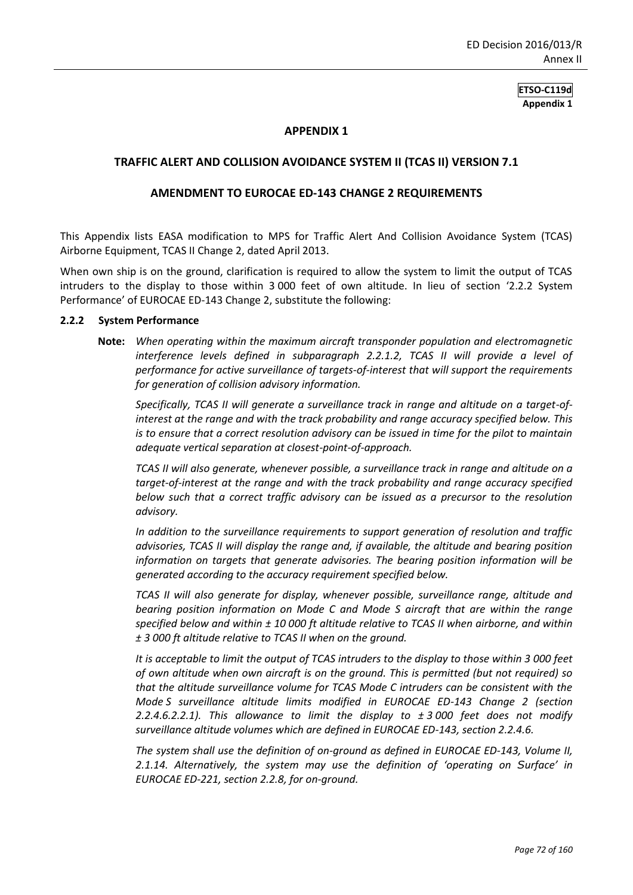#### **APPENDIX 1**

#### **TRAFFIC ALERT AND COLLISION AVOIDANCE SYSTEM II (TCAS II) VERSION 7.1**

#### **AMENDMENT TO EUROCAE ED-143 CHANGE 2 REQUIREMENTS**

This Appendix lists EASA modification to MPS for Traffic Alert And Collision Avoidance System (TCAS) Airborne Equipment, TCAS II Change 2, dated April 2013.

When own ship is on the ground, clarification is required to allow the system to limit the output of TCAS intruders to the display to those within 3 000 feet of own altitude. In lieu of section '2.2.2 System Performance' of EUROCAE ED-143 Change 2, substitute the following:

#### **2.2.2 System Performance**

**Note:** *When operating within the maximum aircraft transponder population and electromagnetic*  interference levels defined in subparagraph 2.2.1.2, TCAS II will provide a level of *performance for active surveillance of targets-of-interest that will support the requirements for generation of collision advisory information.*

*Specifically, TCAS II will generate a surveillance track in range and altitude on a target-ofinterest at the range and with the track probability and range accuracy specified below. This is to ensure that a correct resolution advisory can be issued in time for the pilot to maintain adequate vertical separation at closest-point-of-approach.*

*TCAS II will also generate, whenever possible, a surveillance track in range and altitude on a target-of-interest at the range and with the track probability and range accuracy specified below such that a correct traffic advisory can be issued as a precursor to the resolution advisory.*

*In addition to the surveillance requirements to support generation of resolution and traffic advisories, TCAS II will display the range and, if available, the altitude and bearing position information on targets that generate advisories. The bearing position information will be generated according to the accuracy requirement specified below.*

*TCAS II will also generate for display, whenever possible, surveillance range, altitude and bearing position information on Mode C and Mode S aircraft that are within the range specified below and within ± 10 000 ft altitude relative to TCAS II when airborne, and within ± 3 000 ft altitude relative to TCAS II when on the ground.*

*It is acceptable to limit the output of TCAS intruders to the display to those within 3 000 feet of own altitude when own aircraft is on the ground. This is permitted (but not required) so that the altitude surveillance volume for TCAS Mode C intruders can be consistent with the Mode S surveillance altitude limits modified in EUROCAE ED-143 Change 2 (section 2.2.4.6.2.2.1). This allowance to limit the display to ± 3 000 feet does not modify surveillance altitude volumes which are defined in EUROCAE ED-143, section 2.2.4.6.*

*The system shall use the definition of on-ground as defined in EUROCAE ED-143, Volume II, 2.1.14. Alternatively, the system may use the definition of 'operating on Surface' in EUROCAE ED-221, section 2.2.8, for on-ground.*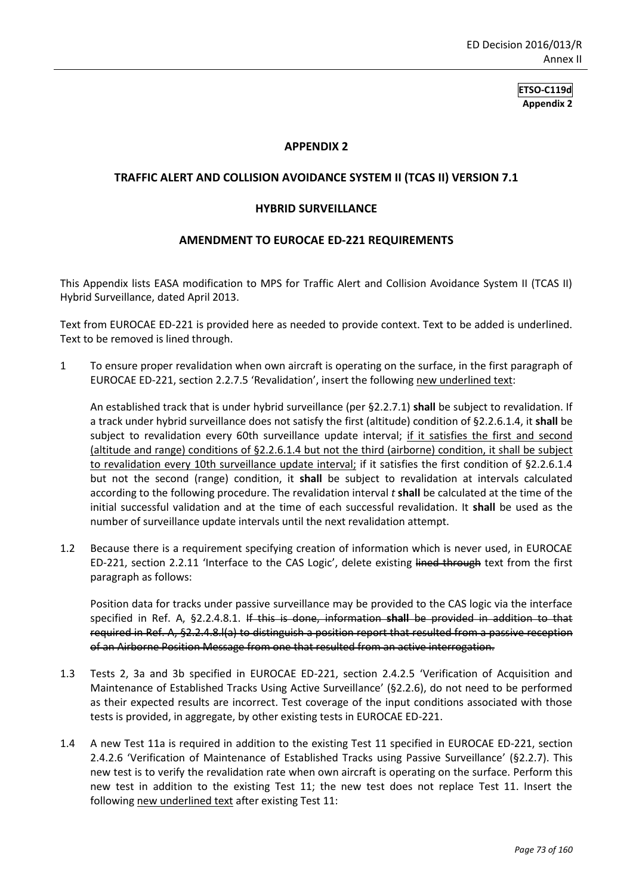#### **APPENDIX 2**

#### **TRAFFIC ALERT AND COLLISION AVOIDANCE SYSTEM II (TCAS II) VERSION 7.1**

#### **HYBRID SURVEILLANCE**

#### **AMENDMENT TO EUROCAE ED-221 REQUIREMENTS**

This Appendix lists EASA modification to MPS for Traffic Alert and Collision Avoidance System II (TCAS II) Hybrid Surveillance, dated April 2013.

Text from EUROCAE ED-221 is provided here as needed to provide context. Text to be added is underlined. Text to be removed is lined through.

1 To ensure proper revalidation when own aircraft is operating on the surface, in the first paragraph of EUROCAE ED-221, section 2.2.7.5 'Revalidation', insert the following new underlined text:

An established track that is under hybrid surveillance (per §2.2.7.1) **shall** be subject to revalidation. If a track under hybrid surveillance does not satisfy the first (altitude) condition of §2.2.6.1.4, it **shall** be subject to revalidation every 60th surveillance update interval; if it satisfies the first and second (altitude and range) conditions of §2.2.6.1.4 but not the third (airborne) condition, it shall be subject to revalidation every 10th surveillance update interval; if it satisfies the first condition of §2.2.6.1.4 but not the second (range) condition, it **shall** be subject to revalidation at intervals calculated according to the following procedure. The revalidation interval *t* **shall** be calculated at the time of the initial successful validation and at the time of each successful revalidation. It **shall** be used as the number of surveillance update intervals until the next revalidation attempt.

1.2 Because there is a requirement specifying creation of information which is never used, in EUROCAE ED-221, section 2.2.11 'Interface to the CAS Logic', delete existing lined through text from the first paragraph as follows:

Position data for tracks under passive surveillance may be provided to the CAS logic via the interface specified in Ref. A, §2.2.4.8.1. If this is done, information **shall** be provided in addition to that required in Ref. A, §2.2.4.8.l(a) to distinguish a position report that resulted from a passive reception of an Airborne Position Message from one that resulted from an active interrogation.

- 1.3 Tests 2, 3a and 3b specified in EUROCAE ED-221, section 2.4.2.5 'Verification of Acquisition and Maintenance of Established Tracks Using Active Surveillance' (§2.2.6), do not need to be performed as their expected results are incorrect. Test coverage of the input conditions associated with those tests is provided, in aggregate, by other existing tests in EUROCAE ED-221.
- 1.4 A new Test 11a is required in addition to the existing Test 11 specified in EUROCAE ED-221, section 2.4.2.6 'Verification of Maintenance of Established Tracks using Passive Surveillance' (§2.2.7). This new test is to verify the revalidation rate when own aircraft is operating on the surface. Perform this new test in addition to the existing Test 11; the new test does not replace Test 11. Insert the following new underlined text after existing Test 11: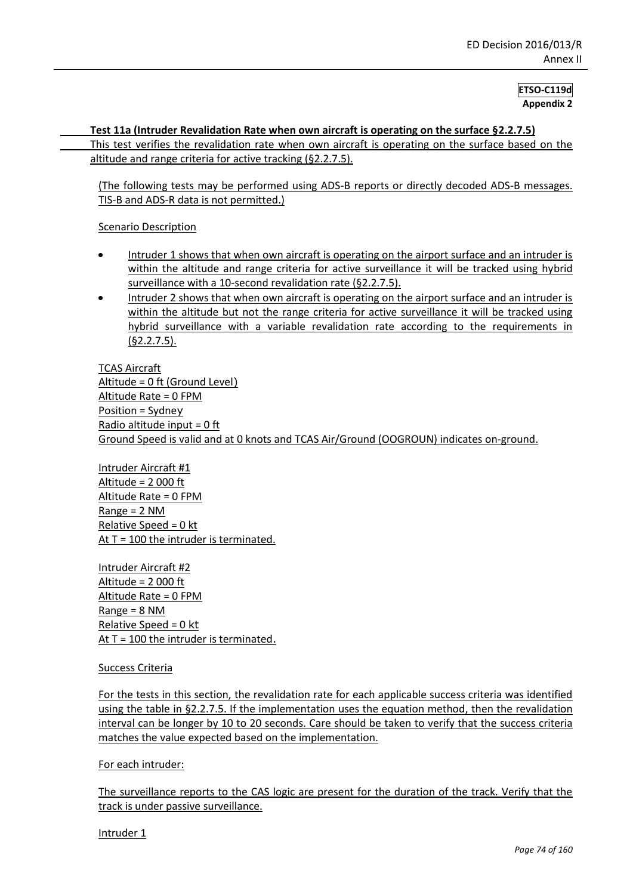#### **Test 11a (Intruder Revalidation Rate when own aircraft is operating on the surface §2.2.7.5)**

This test verifies the revalidation rate when own aircraft is operating on the surface based on the altitude and range criteria for active tracking (§2.2.7.5).

(The following tests may be performed using ADS-B reports or directly decoded ADS-B messages. TIS-B and ADS-R data is not permitted.)

#### Scenario Description

- Intruder 1 shows that when own aircraft is operating on the airport surface and an intruder is within the altitude and range criteria for active surveillance it will be tracked using hybrid surveillance with a 10-second revalidation rate (§2.2.7.5).
- Intruder 2 shows that when own aircraft is operating on the airport surface and an intruder is within the altitude but not the range criteria for active surveillance it will be tracked using hybrid surveillance with a variable revalidation rate according to the requirements in  $(§2.2.7.5).$

TCAS Aircraft Altitude = 0 ft (Ground Level) Altitude Rate = 0 FPM Position = Sydney Radio altitude input = 0 ft Ground Speed is valid and at 0 knots and TCAS Air/Ground (OOGROUN) indicates on-ground.

Intruder Aircraft #1 Altitude = 2 000 ft Altitude Rate = 0 FPM Range = 2 NM Relative Speed = 0 kt At  $T = 100$  the intruder is terminated.

Intruder Aircraft #2 Altitude = 2 000 ft Altitude Rate = 0 FPM Range = 8 NM Relative Speed = 0 kt At T = 100 the intruder is terminated.

#### Success Criteria

For the tests in this section, the revalidation rate for each applicable success criteria was identified using the table in §2.2.7.5. If the implementation uses the equation method, then the revalidation interval can be longer by 10 to 20 seconds. Care should be taken to verify that the success criteria matches the value expected based on the implementation.

#### For each intruder:

The surveillance reports to the CAS logic are present for the duration of the track. Verify that the track is under passive surveillance.

Intruder 1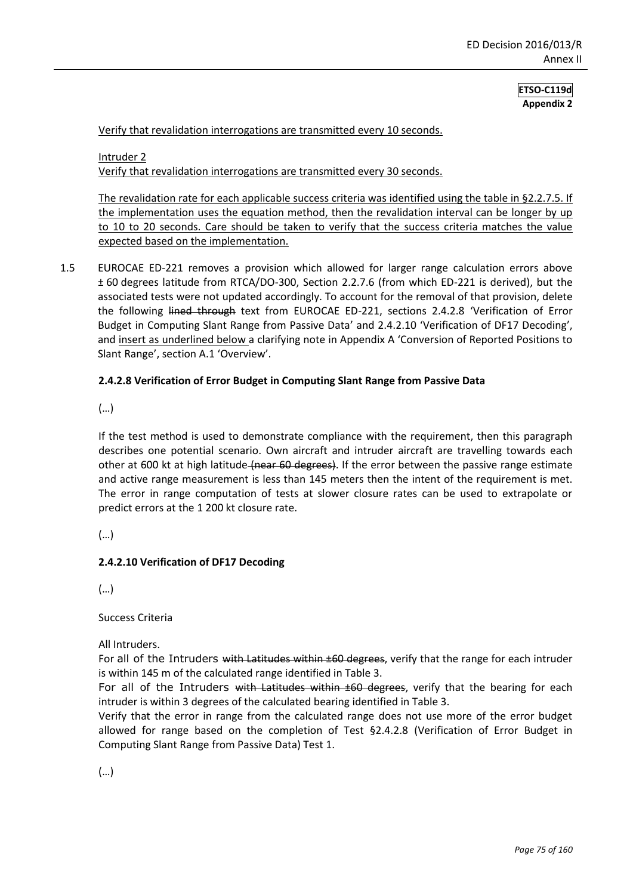Verify that revalidation interrogations are transmitted every 10 seconds.

Intruder 2 Verify that revalidation interrogations are transmitted every 30 seconds.

The revalidation rate for each applicable success criteria was identified using the table in §2.2.7.5. If the implementation uses the equation method, then the revalidation interval can be longer by up to 10 to 20 seconds. Care should be taken to verify that the success criteria matches the value expected based on the implementation.

1.5 EUROCAE ED-221 removes a provision which allowed for larger range calculation errors above ± 60 degrees latitude from RTCA/DO-300, Section 2.2.7.6 (from which ED-221 is derived), but the associated tests were not updated accordingly. To account for the removal of that provision, delete the following lined through text from EUROCAE ED-221, sections 2.4.2.8 'Verification of Error Budget in Computing Slant Range from Passive Data' and 2.4.2.10 'Verification of DF17 Decoding', and insert as underlined below a clarifying note in Appendix A 'Conversion of Reported Positions to Slant Range', section A.1 'Overview'.

#### **2.4.2.8 Verification of Error Budget in Computing Slant Range from Passive Data**

(…)

If the test method is used to demonstrate compliance with the requirement, then this paragraph describes one potential scenario. Own aircraft and intruder aircraft are travelling towards each other at 600 kt at high latitude (near 60 degrees). If the error between the passive range estimate and active range measurement is less than 145 meters then the intent of the requirement is met. The error in range computation of tests at slower closure rates can be used to extrapolate or predict errors at the 1 200 kt closure rate.

(…)

#### **2.4.2.10 Verification of DF17 Decoding**

(…)

Success Criteria

All Intruders.

For all of the Intruders with Latitudes within  $\pm 60$  degrees, verify that the range for each intruder is within 145 m of the calculated range identified in Table 3.

For all of the Intruders with Latitudes within  $\pm 60$  degrees, verify that the bearing for each intruder is within 3 degrees of the calculated bearing identified in Table 3.

Verify that the error in range from the calculated range does not use more of the error budget allowed for range based on the completion of Test §2.4.2.8 (Verification of Error Budget in Computing Slant Range from Passive Data) Test 1.